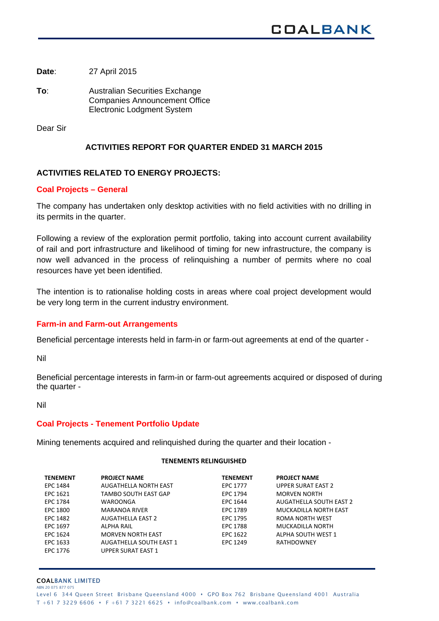**Date**: 27 April 2015

**To**: Australian Securities Exchange Companies Announcement Office Electronic Lodgment System

Dear Sir

# **ACTIVITIES REPORT FOR QUARTER ENDED 31 MARCH 2015**

# **ACTIVITIES RELATED TO ENERGY PROJECTS:**

## **Coal Projects – General**

The company has undertaken only desktop activities with no field activities with no drilling in its permits in the quarter.

Following a review of the exploration permit portfolio, taking into account current availability of rail and port infrastructure and likelihood of timing for new infrastructure, the company is now well advanced in the process of relinquishing a number of permits where no coal resources have yet been identified.

The intention is to rationalise holding costs in areas where coal project development would be very long term in the current industry environment.

# **Farm-in and Farm-out Arrangements**

Beneficial percentage interests held in farm-in or farm-out agreements at end of the quarter -

Nil

Beneficial percentage interests in farm-in or farm-out agreements acquired or disposed of during the quarter -

Nil

### **Coal Projects - Tenement Portfolio Update**

Mining tenements acquired and relinquished during the quarter and their location -

#### **TENEMENTS RELINGUISHED**

| <b>TENEMENT</b> | <b>PROJECT NAME</b>            | <b>TENEMENT</b> | <b>PROJECT NAME</b>            |
|-----------------|--------------------------------|-----------------|--------------------------------|
| EPC 1484        | AUGATHELLA NORTH EAST          | <b>EPC 1777</b> | <b>UPPER SURAT EAST 2</b>      |
| EPC 1621        | TAMBO SOUTH EAST GAP           | EPC 1794        | <b>MORVEN NORTH</b>            |
| EPC 1784        | WAROONGA                       | EPC 1644        | <b>AUGATHELLA SOUTH EAST 2</b> |
| EPC 1800        | <b>MARANOA RIVER</b>           | EPC 1789        | MUCKADILLA NORTH EAST          |
| EPC 1482        | <b>AUGATHELLA EAST 2</b>       | EPC 1795        | ROMA NORTH WEST                |
| EPC 1697        | ALPHA RAIL                     | <b>EPC 1788</b> | MUCKADILLA NORTH               |
| EPC 1624        | <b>MORVEN NORTH EAST</b>       | EPC 1622        | ALPHA SOUTH WEST 1             |
| EPC 1633        | <b>AUGATHELLA SOUTH EAST 1</b> | EPC 1249        | <b>RATHDOWNEY</b>              |
| EPC 1776        | <b>UPPER SURAT EAST 1</b>      |                 |                                |